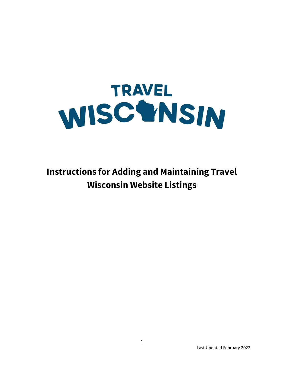

**Instructions for Adding and Maintaining Travel Wisconsin Website Listings**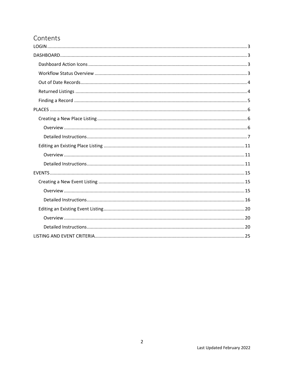# Contents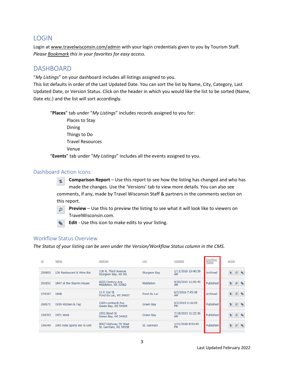## <span id="page-2-0"></span>LOGIN

Login at [www.travelwisconsin.com/admin](http://www.travelwisconsin.com/admin) with your login credentials given to you by Tourism Staff. *Please Bookmark this in your favorites for easy access.* 

## <span id="page-2-1"></span>DASHBOARD

"*My Listings*" on your dashboard includes all listings assigned to you.

This list defaults in order of the Last Updated Date. You can sort the list by Name, City, Category, Last Updated Date, or Version Status. Click on the header in which you would like the list to be sorted (Name, Date etc.) and the list will sort accordingly.

"**Places**" tab under "*My Listings*" includes records assigned to you for: Places to Stay Dining Things to Do Travel Resources Venue

"**Events**" tab under "*My Listings*" includes all the events assigned to you.

## <span id="page-2-2"></span>Dashboard Action Icons

**Comparison Report** – Use this report to see how the listing has changed and who has made the changes. Use the 'Versions' tab to view more details. You can also see comments, if any, made by Travel Wisconsin Staff & partners in the comments section on this report.

**Preview** – Use this to preview the listing to see what it will look like to viewers on TravelWisconsin.com.

**Edit** - Use this icon to make edits to your listing.

## <span id="page-2-3"></span>Workflow Status Overview

*The Status of your listing can be seen under the Version/Workflow Status column in the CMS.*

| ID     | Name                         | <b>Address</b>                                | City                | Updated                         | Workflow<br><b>Status</b> | Action        |
|--------|------------------------------|-----------------------------------------------|---------------------|---------------------------------|---------------------------|---------------|
| 250903 | 136 Restaurant & Wine Bar    | 136 N. Third Avenue<br>Sturgeon Bay, WI WI    | <b>Sturgeon Bay</b> | 1/11/2016 10:40:39<br><b>AM</b> | Archived                  | $\mathsf{D}$  |
| 261651 | 1847 at the Stamm House      | 6625 Century Ave<br>Middleton, WI 53562       | Middleton           | 9/30/2015 11:05:45<br>AM        | Published                 |               |
| 274347 | 1848                         | 11 E 2nd St<br>Fond du Lac, WI 54937          | Fond du Lac         | 6/2/2016 7:45:38<br><b>AM</b>   | Archived                  | P             |
| 260071 | 1919 Kitchen & Tap           | 1265 Lombardi Ave<br>Green Bay, WI 54304      | <b>Green Bay</b>    | 9/2/2015 2:16:55<br><b>PM</b>   | Published                 | $\mathcal{P}$ |
| 194353 | 1951 West                    | 1951 Bond St<br>Green Bay, WI 54303           | Green Bay           | 7/18/2013 11:22:36<br>AM        | Published                 | ₽             |
| 199349 | 19th Hole Sports Bar & Grill | 9067 Highway 70 West<br>St. Germain, WI 54558 | St. Germain         | 1/21/2018 8:53:45<br><b>PM</b>  | Published                 |               |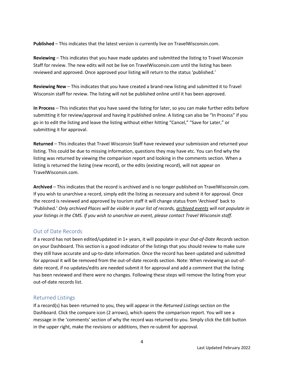**Published** – This indicates that the latest version is currently live on TravelWisconsin.com.

**Reviewing** – This indicates that you have made updates and submitted the listing to Travel Wisconsin Staff for review. The new edits will not be live on TravelWisconsin.com until the listing has been reviewed and approved. Once approved your listing will return to the status 'published.'

**Reviewing New** – This indicates that you have created a brand-new listing and submitted it to Travel Wisconsin staff for review. The listing will not be published online until it has been approved.

**In Process** – This indicates that you have saved the listing for later, so you can make further edits before submitting it for review/approval and having it published online. A listing can also be "In Process" if you go in to edit the listing and leave the listing without either hitting "Cancel," "Save for Later," or submitting it for approval.

**Returned** – This indicates that Travel Wisconsin Staff have reviewed your submission and returned your listing. This could be due to missing information, questions they may have etc. You can find why the listing was returned by viewing the comparison report and looking in the comments section. When a listing is returned the listing (new record), or the edits (existing record), will not appear on TravelWisconsin.com.

**Archived** – This indicates that the record is archived and is no longer published on TravelWisconsin.com. If you wish to unarchive a record, simply edit the listing as necessary and submit it for approval. Once the record is reviewed and approved by tourism staff it will change status from 'Archived' back to 'Published.' *Only archived Places will be visible in your list of records, archived events will not populate in your listings in the CMS. If you wish to unarchive an event, please contact Travel Wisconsin staff.*

## <span id="page-3-0"></span>Out of Date Records

If a record has not been edited/updated in 1+ years, it will populate in your *Out-of-Date Records* section on your Dashboard. This section is a good indicator of the listings that you should review to make sure they still have accurate and up-to-date information. Once the record has been updated and submitted for approval it will be removed from the out-of-date records section. Note: When reviewing an out-ofdate record, if no updates/edits are needed submit it for approval and add a comment that the listing has been reviewed and there were no changes. Following these steps will remove the listing from your out-of-date records list.

## <span id="page-3-1"></span>Returned Listings

If a record(s) has been returned to you, they will appear in the *Returned Listings* section on the Dashboard. Click the compare icon (2 arrows), which opens the comparison report. You will see a message in the 'comments' section of why the record was returned to you. Simply click the Edit button in the upper right, make the revisions or additions, then re-submit for approval.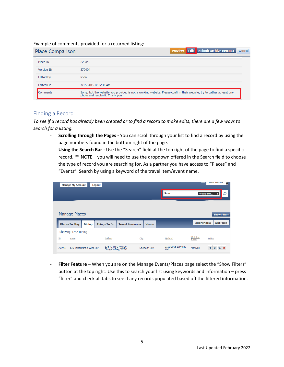#### Example of comments provided for a returned listing:

| <b>Place Comparison</b> | <b>Edit Submit Archive Request</b><br>Cancel<br><b>Preview</b>                                                                                           |
|-------------------------|----------------------------------------------------------------------------------------------------------------------------------------------------------|
| Place ID                | 223346                                                                                                                                                   |
| <b>Version ID</b>       | 379404                                                                                                                                                   |
| <b>Edited By</b>        | linda                                                                                                                                                    |
| <b>Edited On</b>        | 4/15/2015 8:35:32 AM                                                                                                                                     |
| <b>Comments</b>         | Sorry, but the website you provided is not a working website. Please confirm their website, try to gather at least one<br>photo and resubmit. Thank you. |

#### <span id="page-4-0"></span>Finding a Record

*To see if a record has already been created or to find a record to make edits, there are a few ways to search for a listing.*

- **Scrolling through the Pages -** You can scroll through your list to find a record by using the page numbers found in the bottom right of the page.
- **Using the Search Bar -** Use the "Search" field at the top right of the page to find a specific record. \*\* NOTE – you will need to use the dropdown offered in the Search field to choose the type of record you are searching for. As a partner you have access to "Places" and "Events". Search by using a keyword of the travel item/event name.

| <b>Manage My Account</b>               | Logout                                     |                                         |                          | Sue:                      | <b>Travel Wisconsin</b><br>м |
|----------------------------------------|--------------------------------------------|-----------------------------------------|--------------------------|---------------------------|------------------------------|
|                                        |                                            |                                         | Search                   |                           | O<br>Please Select           |
|                                        |                                            |                                         |                          |                           |                              |
| Manage Places                          |                                            |                                         |                          |                           | <b>Show Filters</b>          |
| <b>Places To Stay</b><br><b>Dining</b> | <b>Things To Do</b>                        | <b>Travel Resources</b><br><b>Venue</b> |                          | <b>Export Places</b>      | <b>Add Place</b>             |
| Showing 4782 Dining                    |                                            |                                         |                          |                           |                              |
| ID<br>Name                             | <b>Address</b>                             | City                                    | Updated                  | Workflow<br><b>Status</b> | <b>Action</b>                |
| 250903<br>136 Restaurant & Wine Bar    | 136 N. Third Avenue<br>Sturgeon Bay, WI WI | <b>Sturgeon Bay</b>                     | 1/11/2016 10:40:39<br>AM | Archived                  | t.                           |

- **Filter Feature –** When you are on the Manage Events/Places page select the "Show Filters" button at the top right. Use this to search your list using keywords and information – press "filter" and check all tabs to see if any records populated based off the filtered information.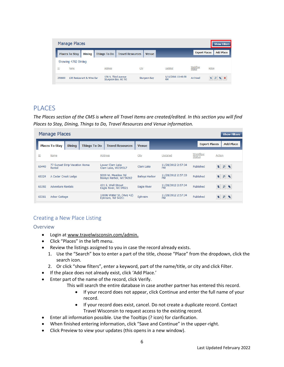|        | Manage Places         |                           |                                            |                         |                     |                                 |                    | <b>Show Filters</b>                      |
|--------|-----------------------|---------------------------|--------------------------------------------|-------------------------|---------------------|---------------------------------|--------------------|------------------------------------------|
|        | <b>Places To Stay</b> | <b>Dining</b>             | <b>Things To Do</b>                        | <b>Travel Resources</b> | <b>Venue</b>        |                                 |                    | <b>Add Place</b><br><b>Export Places</b> |
|        | Showing 4782 Dining   |                           |                                            |                         |                     |                                 |                    |                                          |
| ID     | Name                  |                           | <b>Address</b>                             | City                    |                     | Updated                         | Workflow<br>Status | <b>Action</b>                            |
| 250903 |                       | 136 Restaurant & Wine Bar | 136 N. Third Avenue<br>Sturgeon Bay, WI WI |                         | <b>Sturgeon Bay</b> | 1/11/2016 10:40:39<br><b>AM</b> | Archived           | ₽                                        |

## <span id="page-5-0"></span>PLACES

*The Places section of the CMS is where all Travel Items are created/edited. In this section you will find Places to Stay, Dining, Things to Do, Travel Resources and Venue information.* 

|       | <b>Manage Places</b><br><b>Show Filters</b> |                               |                     |                                               |                       |                                 |                           |                                          |
|-------|---------------------------------------------|-------------------------------|---------------------|-----------------------------------------------|-----------------------|---------------------------------|---------------------------|------------------------------------------|
|       | <b>Places To Stay</b>                       | <b>Dining</b>                 | <b>Things To Do</b> | <b>Travel Resources</b>                       | <b>Venue</b>          |                                 | <b>Export Places</b>      | <b>Add Place</b>                         |
| ID    | Name                                        |                               |                     | Address                                       | City                  | Updated                         | Workflow<br><b>Status</b> | Action                                   |
| 65440 | Rental                                      | 77 Sunset Strip Vacation Home |                     | Lower Clam Lake<br>Clam Lake, WI 54517        | Clam Lake             | 11/28/2012 2:57:34<br><b>PM</b> | Published                 | $\overline{\phantom{a}}$<br>$\mathbf{p}$ |
| 65324 | A Cedar Creek Lodge                         |                               |                     | 9200 W. Meadow Rd<br>Baileys Harbor, WI 54202 | <b>Baileys Harbor</b> | 11/28/2012 2:57:33<br><b>PM</b> | Published                 | ÷.<br>$\mathbf{p}$<br>$\bullet$          |
| 65392 | <b>Adventure Rentals</b>                    |                               |                     | 421 E. Wall Street<br>Eagle River, WI 54521   | Eagle River           | 11/28/2012 2:57:34<br><b>PM</b> | Published                 | ÷.<br>$\mathsf{p}$<br>♦                  |
| 65361 | Arbor Cottage                               |                               |                     | 10006 Water St. (Hwy 42)<br>Ephraim, WI 54211 | Ephraim               | 11/28/2012 2:57:34<br><b>PM</b> | Published                 | z<br>₽<br>∾                              |

## <span id="page-5-1"></span>Creating a New Place Listing

#### <span id="page-5-2"></span>Overview

- Login at [www.travelwisconsin.com/admin.](http://www.travelwisconsin.com/admin)
- Click "Places" in the left menu.
- Review the listings assigned to you in case the record already exists.
	- 1. Use the "Search" box to enter a part of the title, choose "Place" from the dropdown, click the search icon.
	- 2. Or click "show filters", enter a keyword, part of the name/title, or city and click Filter.
- If the place does not already exist, click 'Add Place.'
- Enter part of the name of the record, click Verify.
	- This will search the entire database in case another partner has entered this record.
		- If your record does not appear, click Continue and enter the full name of your record.
		- If your record does exist, cancel. Do not create a duplicate record. Contact Travel Wisconsin to request access to the existing record.
- Enter all information possible. Use the Tooltips (? icon) for clarification.
- When finished entering information, click "Save and Continue" in the upper-right.
- Click Preview to view your updates (this opens in a new window).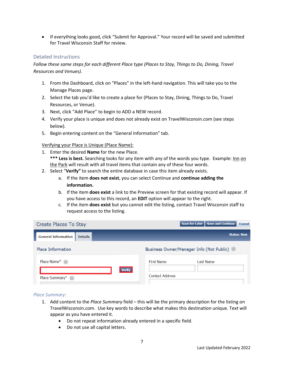• If everything looks good, click "Submit for Approval." Your record will be saved and submitted for Travel Wisconsin Staff for review.

#### <span id="page-6-0"></span>Detailed Instructions

*Follow these same steps for each different Place type (Places to Stay, Things to Do, Dining, Travel Resources and Venues).*

- 1. From the Dashboard, click on "Places" in the left-hand navigation. This will take you to the Manage Places page.
- 2. Select the tab you'd like to create a place for (Places to Stay, Dining, Things to Do, Travel Resources, or Venue).
- 3. Next, click "Add Place" to begin to ADD a NEW record.
- 4. Verify your place is unique and does not already exist on TravelWisconsin.com (see steps below).
- 5. Begin entering content on the "General Information" tab.

Verifying your Place is Unique (Place Name):

1. Enter the desired **Name** for the new Place.

\*\*\* Less is best. Searching looks for any item with any of the words you type. Example: Inn on the Park will result with all travel items that contain any of these four words.

- 2. Select "**Verify"** to search the entire database in case this item already exists.
	- a. If the item **does not exist**, you can select Continue and **continue adding the information.**
	- b. If the item **does exist** a link to the Preview screen for that existing record will appear. If you have access to this record, an **EDIT** option will appear to the right.
	- c. If the item **does exist** but you cannot edit the listing, contact Travel Wisconsin staff to request access to the listing.

| <b>Create Places To Stay</b>                 | <b>Save and Continue</b><br>Save for Later<br><b>Cancel</b> |
|----------------------------------------------|-------------------------------------------------------------|
| <b>General Information</b><br><b>Details</b> | <b>Status: New</b>                                          |
| <b>Place Information</b>                     | Business Owner/Manager Info (Not Public)                    |
| Place Name* $\oslash$                        | <b>First Name</b><br>Last Name                              |
| <b>Verify</b><br>Place Summary* $\oslash$    | <b>Contact Address</b>                                      |

#### *Place Summary:*

- 1. Add content to the *Place Summary* field this will be the primary description for the listing on TravelWisconsin.com. Use key words to describe what makes this destination unique. Text will appear as you have entered it.
	- Do not repeat information already entered in a specific field.
	- Do not use all capital letters.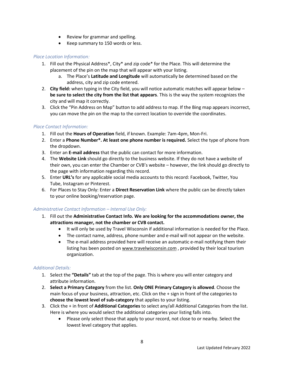- Review for grammar and spelling.
- Keep summary to 150 words or less.

### *Place Location Information:*

- 1. Fill out the Physical Address\*, City\* and zip code\* for the Place. This will determine the placement of the pin on the map that will appear with your listing.
	- a. The Place's **Latitude and Longitude** will automatically be determined based on the address, city and zip code entered.
- 2. **City field:** when typing in the City field, you will notice automatic matches will appear below **be sure to select the city from the list that appears**. This is the way the system recognizes the city and will map it correctly.
- 3. Click the "Pin Address on Map" button to add address to map. If the Bing map appears incorrect, you can move the pin on the map to the correct location to override the coordinates.

#### *Place Contact Information:*

- 1. Fill out the **Hours of Operation** field, if known. Example: 7am-4pm, Mon-Fri.
- 2. Enter a **Phone Number\*. At least one phone number is required.** Select the type of phone from the dropdown.
- 3. Enter an **E-mail address** that the public can contact for more information.
- 4. The **Website Link** should go directly to the business website. If they do not have a website of their own, you can enter the Chamber or CVB's website – however, the link should go directly to the page with information regarding this record.
- 5. Enter **URL's** for any applicable social media accounts to this record: Facebook, Twitter, You Tube, Instagram or Pinterest.
- 6. For Places to Stay Only: Enter a **Direct Reservation Link** where the public can be directly taken to your online booking/reservation page.

#### *Administrative Contact Information – Internal Use Only:*

- 1. Fill out the **Administrative Contact Info. We are looking for the accommodations owner, the attractions manager, not the chamber or CVB contact.** 
	- It will only be used by Travel Wisconsin if additional information is needed for the Place.
	- The contact name, address, phone number and e-mail will not appear on the website.
	- The e-mail address provided here will receive an automatic e-mail notifying them their listing has been posted on [www.travelwisconsin.com](http://www.travelwisconsin.com/) , provided by their local tourism organization.

#### *Additional Details:*

- 1. Select the **"Details"** tab at the top of the page. This is where you will enter category and attribute information.
- 2. **Select a Primary Category** from the list. **Only ONE Primary Category is allowed**. Choose the main focus of your business, attraction, etc. Click on the + sign in front of the categories to **choose the lowest level of sub-category** that applies to your listing.
- 3. Click the + in front of **Additional Categories** to select any/all Additional Categories from the list. Here is where you would select the additional categories your listing falls into.
	- Please only select those that apply to your record, not close to or nearby. Select the lowest level category that applies.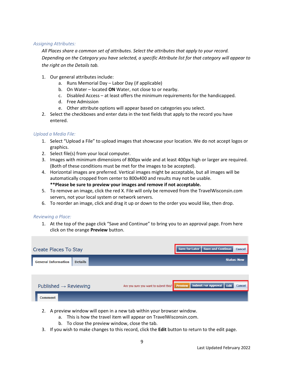#### *Assigning Attributes:*

*All Places share a common set of attributes. Select the attributes that apply to your record. Depending on the Category you have selected, a specific Attribute list for that category will appear to the right on the Details tab.* 

- 1. Our general attributes include:
	- a. Runs Memorial Day Labor Day (if applicable)
	- b. On Water located **ON** Water, not close to or nearby.
	- c. Disabled Access at least offers the minimum requirements for the handicapped.
	- d. Free Admission
	- e. Other attribute options will appear based on categories you select.
- 2. Select the checkboxes and enter data in the text fields that apply to the record you have entered.

#### *Upload a Media File:*

- 1. Select "Upload a File" to upload images that showcase your location. We do not accept logos or graphics.
- 2. Select file(s) from your local computer.
- 3. Images with minimum dimensions of 800px wide and at least 400px high or larger are required. (Both of these conditions must be met for the images to be accepted).
- 4. Horizontal images are preferred. Vertical images might be acceptable, but all images will be automatically cropped from center to 800x400 and results may not be usable. **\*\*Please be sure to preview your images and remove if not acceptable.**
- 5. To remove an image, click the red X. File will only be removed from the TravelWisconsin.com servers, not your local system or network servers.
- 6. To reorder an image, click and drag it up or down to the order you would like, then drop.

#### *Reviewing a Place:*

1. At the top of the page click "Save and Continue" to bring you to an approval page. From here click on the orange **Preview** button.

| <b>Create Places To Stay</b>                 |                                       | <b>Save for Later</b> | <b>Save and Continue</b>           | <b>Cancel</b>      |
|----------------------------------------------|---------------------------------------|-----------------------|------------------------------------|--------------------|
| <b>General Information</b><br><b>Details</b> |                                       |                       |                                    | <b>Status: New</b> |
|                                              |                                       |                       |                                    |                    |
| Published $\rightarrow$ Reviewing            | Are you sure you want to submit this? | <b>Preview</b>        | <b>Submit For Approval</b><br>Edit | <b>Cancel</b>      |
| <b>Comment</b>                               |                                       |                       |                                    |                    |

- 2. A preview window will open in a new tab within your browser window.
	- a. This is how the travel item will appear on TravelWisconsin.com.
	- b. To close the preview window, close the tab.
- 3. If you wish to make changes to this record, click the **Edit** button to return to the edit page.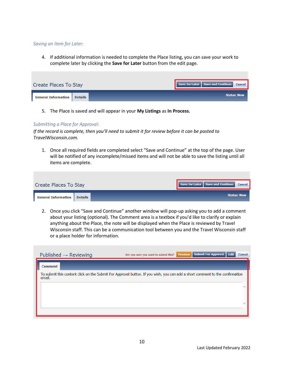#### *Saving an Item for Later:*

4. If additional information is needed to complete the Place listing, you can save your work to complete later by clicking the **Save for Later** button from the edit page.

| <b>Create Places To Stay</b>                 | Save for Later   Save and Continue   Cancel |
|----------------------------------------------|---------------------------------------------|
| <b>General Information</b><br><b>Details</b> | <b>Status: New</b>                          |

5. The Place is saved and will appear in your **My Listings** as **In Process.**

#### *Submitting a Place for Approval:*

*If the record is complete, then you'll need to submit it for review before it can be posted to TravelWisconsin.com.*

1. Once all required fields are completed select "Save and Continue" at the top of the page. User will be notified of any incomplete/missed items and will not be able to save the listing until all items are complete.

| <b>Create Places To Stay</b>          | Save for Later   Save and Continue   Cancel |
|---------------------------------------|---------------------------------------------|
| General Information<br><b>Details</b> | <b>Status: New</b>                          |

2. Once you click "Save and Continue" another window will pop-up asking you to add a comment about your listing (optional). The Comment area is a textbox if you'd like to clarify or explain anything about the Place, the note will be displayed when the Place is reviewed by Travel Wisconsin staff. This can be a communication tool between you and the Travel Wisconsin staff or a place holder for information.

| Published $\rightarrow$ Reviewing                                                                                                      | Are you sure you want to submit this? | <b>Preview</b> | Submit For Approval   Edit | <b>Cancel</b> |
|----------------------------------------------------------------------------------------------------------------------------------------|---------------------------------------|----------------|----------------------------|---------------|
| <b>Comment</b>                                                                                                                         |                                       |                |                            |               |
| To submit this content click on the Submit For Approval button. If you wish, you can add a short comment to the confirmation<br>email. |                                       |                |                            |               |
|                                                                                                                                        |                                       |                |                            |               |
|                                                                                                                                        |                                       |                |                            |               |
|                                                                                                                                        |                                       |                |                            |               |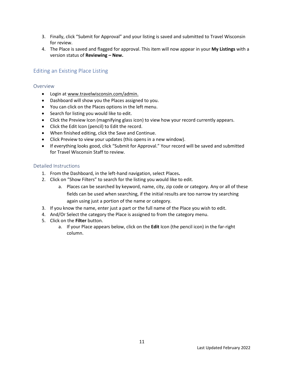- 3. Finally, click "Submit for Approval" and your listing is saved and submitted to Travel Wisconsin for review.
- 4. The Place is saved and flagged for approval. This item will now appear in your **My Listings** with a version status of **Reviewing – New.**

### <span id="page-10-0"></span>Editing an Existing Place Listing

#### <span id="page-10-1"></span>Overview

- Login at [www.travelwisconsin.com/admin.](http://www.travelwisconsin.com/admin)
- Dashboard will show you the Places assigned to you.
- You can click on the Places options in the left menu.
- Search for listing you would like to edit.
- Click the Preview Icon (magnifying glass icon) to view how your record currently appears.
- Click the Edit Icon (pencil) to Edit the record.
- When finished editing, click the Save and Continue.
- Click Preview to view your updates (this opens in a new window).
- If everything looks good, click "Submit for Approval." Your record will be saved and submitted for Travel Wisconsin Staff to review.

#### <span id="page-10-2"></span>Detailed Instructions

- 1. From the Dashboard, in the left-hand navigation, select Places**.**
- 2. Click on "Show Filters" to search for the listing you would like to edit.
	- a. Places can be searched by keyword, name, city, zip code or category. Any or all of these fields can be used when searching, if the initial results are too narrow try searching again using just a portion of the name or category.
- 3. If you know the name, enter just a part or the full name of the Place you wish to edit.
- 4. And/Or Select the category the Place is assigned to from the category menu.
- 5. Click on the **Filter** button.
	- a. If your Place appears below, click on the **Edit** Icon (the pencil icon) in the far-right column.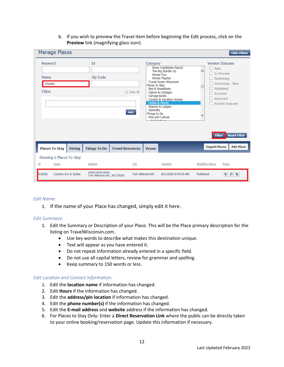b. If you wish to preview the Travel item before beginning the Edit process, click on the **Preview** link (magnifying glass icon).

| <b>Manage Places</b>                               |               |                                                 |                         |                                                                                                                                                                                                                                                                                                                                                                                     |                     |                                                               | <b>Hide Filters</b>                                                                                                                           |
|----------------------------------------------------|---------------|-------------------------------------------------|-------------------------|-------------------------------------------------------------------------------------------------------------------------------------------------------------------------------------------------------------------------------------------------------------------------------------------------------------------------------------------------------------------------------------|---------------------|---------------------------------------------------------------|-----------------------------------------------------------------------------------------------------------------------------------------------|
| Keyword<br><b>Name</b><br>Country<br><b>Cities</b> |               | Id<br>Zip Code                                  | View All<br>Add         | Category<br><b>Snow Conditions Report</b><br>The Big Bundle Up<br><b>Winter Fun</b><br><b>Winter Playlist</b><br><b>Travel Green Wisconsin</b><br>Places to Stay<br><b>Bed &amp; Breakfasts</b><br>Cabins & Cottages<br>Campgrounds<br>Condos & Vacation Homes<br><b>Hotels &amp; Motels</b><br>Resorts & Lodges<br>Specialty<br>Things to Do<br>Arts and Culture<br>بقدام فالتواسي |                     | $\Box$ New<br>$\wedge$<br><b>The Process</b><br><b>Filter</b> | <b>Version Statuses</b><br>Reviewing<br>Reviewing - New<br>Published<br>Archived<br>Returned<br>$\Box$ Archive Request<br><b>Reset Filter</b> |
| <b>Places To Stay</b>                              | <b>Dining</b> | <b>Things To Do</b>                             | <b>Travel Resources</b> | <b>Venue</b>                                                                                                                                                                                                                                                                                                                                                                        |                     | <b>Export Places</b>                                          | <b>Add Place</b>                                                                                                                              |
| Showing 1 Places To Stay                           |               |                                                 |                         |                                                                                                                                                                                                                                                                                                                                                                                     |                     |                                                               |                                                                                                                                               |
| ID<br>Name                                         |               | Address                                         | City                    |                                                                                                                                                                                                                                                                                                                                                                                     | Updated             | Workflow Status                                               | Action                                                                                                                                        |
| 315016<br>Country Inn & Suites                     |               | 1650 Doris Drive<br>Fort Atkinson, WI, WI 53538 |                         | Fort Atkinson, WI                                                                                                                                                                                                                                                                                                                                                                   | 8/1/2018 9:54:03 AM | Published                                                     | $\overline{\bullet}$<br>$\mathsf{p}$<br>$\bullet$                                                                                             |

#### *Edit Name:*

1. If the name of your Place has changed, simply edit it here.

#### *Edit Summary:*

- 1. Edit the Summary or Description of your Place. This will be the Place primary description for the listing on TravelWisconsin.com.
	- Use key words to describe what makes this destination unique.
	- Text will appear as you have entered it.
	- Do not repeat information already entered in a specific field.
	- Do not use all capital letters, review for grammar and spelling.
	- Keep summary to 150 words or less.

#### *Edit Location and Contact Information:*

- 1. Edit the **location name** if information has changed.
- 2. Edit **Hours** if the information has changed.
- 3. Edit the **address/pin location** if information has changed.
- 4. Edit the **phone number(s)** if the information has changed.
- 5. Edit the **E-mail address** and **website** address if the information has changed.
- 6. For Places to Stay Only: Enter a **Direct Reservation Link** where the public can be directly taken to your online booking/reservation page. Update this information if necessary.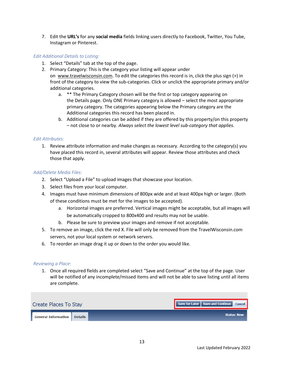7. Edit the **URL's** for any **social media** fields linking users directly to Facebook, Twitter, You Tube, Instagram or Pinterest.

#### *Edit Additional Details to Listing:*

- 1. Select "Details" tab at the top of the page.
- 2. Primary Category: This is the category your listing will appear under on [www.travelwisconsin.com.](http://www.travelwisconsin.com/) To edit the categories this record is in, click the plus sign (+) in front of the category to view the sub-categories. Click or unclick the appropriate primary and/or additional categories.
	- a. \*\* The Primary Category chosen will be the first or top category appearing on the Details page. Only ONE Primary category is allowed – select the most appropriate primary category. The categories appearing below the Primary category are the Additional categories this record has been placed in.
	- b. Additional categories can be added if they are offered by this property/on this property – not close to or nearby. *Always select the lowest level sub-category that applies.*

#### *Edit Attributes:*

1. Review attribute information and make changes as necessary. According to the category(s) you have placed this record in, several attributes will appear. Review those attributes and check those that apply.

#### *Add/Delete Media Files:*

- 2. Select "Upload a File" to upload images that showcase your location.
- 3. Select files from your local computer.
- 4. Images must have minimum dimensions of 800px wide and at least 400px high or larger. (Both of these conditions must be met for the images to be accepted).
	- a. Horizontal images are preferred. Vertical images might be acceptable, but all images will be automatically cropped to 800x400 and results may not be usable.
	- b. Please be sure to preview your images and remove if not acceptable.
- 5. To remove an image, click the red X. File will only be removed from the TravelWisconsin.com servers, not your local system or network servers.
- 6. To reorder an image drag it up or down to the order you would like.

#### *Reviewing a Place:*

1. Once all required fields are completed select "Save and Continue" at the top of the page. User will be notified of any incomplete/missed items and will not be able to save listing until all items are complete.

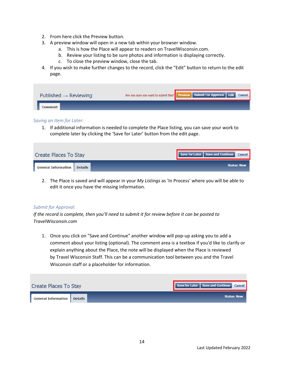- 2. From here click the Preview button.
- 3. A preview window will open in a new tab within your browser window.
	- a. This is how the Place will appear to readers on TravelWisconsin.com.
	- b. Review your listing to be sure photos and information is displaying correctly.
	- c. To close the preview window, close the tab.
- 4. If you wish to make further changes to the record, click the "Edit" button to return to the edit page.

| Published $\rightarrow$ Reviewing |  | Are you sure you want to submit this? Preview Submit For Approval Edit Cancel |  |  |  |  |  |
|-----------------------------------|--|-------------------------------------------------------------------------------|--|--|--|--|--|
| <b>Comment</b>                    |  |                                                                               |  |  |  |  |  |

#### *Saving an Item for Later:*

1. If additional information is needed to complete the Place listing, you can save your work to complete later by clicking the 'Save for Later' button from the edit page.

| Create Places To Stay |                | Save for Later   Save and Continue   Cancel |                    |
|-----------------------|----------------|---------------------------------------------|--------------------|
| General Information   | <b>Details</b> |                                             | <b>Status: New</b> |

2. The Place is saved and will appear in your *My Listings* as 'In Process' where you will be able to edit it once you have the missing information.

#### *Submit for Approval:*

*If the record is complete, then you'll need to submit it for review before it can be posted to TravelWisconsin.com*

1. Once you click on "Save and Continue" another window will pop-up asking you to add a comment about your listing (optional). The comment area is a textbox if you'd like to clarify or explain anything about the Place, the note will be displayed when the Place is reviewed by Travel Wisconsin Staff. This can be a communication tool between you and the Travel Wisconsin staff or a placeholder for information.

| Create Places To Stay      |         |  | Save for Later   Save and Continue   Cancel |                    |
|----------------------------|---------|--|---------------------------------------------|--------------------|
| <b>General Information</b> | Details |  |                                             | <b>Status: New</b> |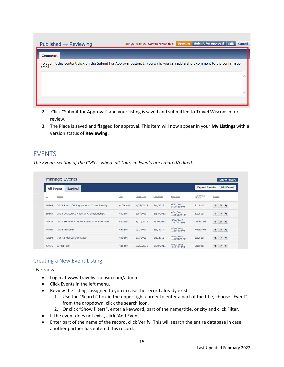| Published $\rightarrow$ Reviewing                                                                                                      | Are you sure you want to submit this? | <b>Preview</b> | <b>Submit For Approval</b> | Edit | <b>Cancel</b> |
|----------------------------------------------------------------------------------------------------------------------------------------|---------------------------------------|----------------|----------------------------|------|---------------|
| <b>Comment</b>                                                                                                                         |                                       |                |                            |      |               |
| To submit this content click on the Submit For Approval button. If you wish, you can add a short comment to the confirmation<br>email. |                                       |                |                            |      |               |
|                                                                                                                                        |                                       |                |                            |      |               |
|                                                                                                                                        |                                       |                |                            |      |               |
|                                                                                                                                        |                                       |                |                            |      |               |
|                                                                                                                                        |                                       |                |                            |      |               |

- 2. Click "Submit for Approval" and your listing is saved and submitted to Travel Wisconsin for review.
- 3. The Place is saved and flagged for approval. This item will now appear in your **My Listings** with a version status of **Reviewing.**

## <span id="page-14-0"></span>EVENTS

*The Events section of the CMS is where all Tourism Events are created/edited.*

| <b>All Events</b> | <b>Expired</b>                            |           |            |           |                          | <b>Export Events</b> |                          | <b>Add Event</b> |
|-------------------|-------------------------------------------|-----------|------------|-----------|--------------------------|----------------------|--------------------------|------------------|
| ID                | Name                                      | City      | Start Date | End Date  | Updated                  | Workflow<br>Status   | Action                   |                  |
| 44564             | 2012 Junior Curling National Championship | Mcfarland | 1/28/2012  | 2/4/2012  | 4/11/2013<br>5:00:29 PM  | Expired              | $\overline{\phantom{a}}$ | P                |
| 39546             | 2013 Cyclocross National Championships    | Madison   | 1/8/2013   | 1/13/2013 | 4/11/2013<br>12:55:39 PM | Expired              | ъ                        | $\mathsf{p}$     |
| 44722             | 2013 Summer Concert Series at Warner Park | Madison   | 6/10/2013  | 7/29/2013 | 5/16/2013<br>1:42:07 PM  | Published            | $\mathbf{z}$             | $\mathcal{D}$    |
| 44496             | 2014 Frostiball                           | Madison   | 2/1/2014   | 2/1/2014  | 5/20/2013<br>1:19:49 PM  | Published            | $\overline{\phantom{a}}$ | P.               |
| 42398             | 7th Annual Cars on State                  | Madison   | 6/1/2013   | 6/1/2013  | 5/15/2013<br>10:02:09 AM | Expired              | ÷.                       | P                |
| 43775             | Africa Fest                               | Madison   | 8/20/2011  | 8/20/2011 | 4/11/2013<br>4:51:09 PM  | Expired              |                          |                  |

## <span id="page-14-1"></span>Creating a New Event Listing

<span id="page-14-2"></span>Overview

- Login at [www.travelwisconsin.com/admin.](http://www.travelwisconsin.com/admin)
- Click Events in the left menu.
- Review the listings assigned to you in case the record already exists.
	- 1. Use the "Search" box in the upper right corner to enter a part of the title, choose "Event" from the dropdown, click the search icon.
	- 2. Or click "Show filters", enter a keyword, part of the name/title, or city and click Filter.
- If the event does not exist, click 'Add Event.'
- Enter part of the name of the record, click Verify. This will search the entire database in case another partner has entered this record.

15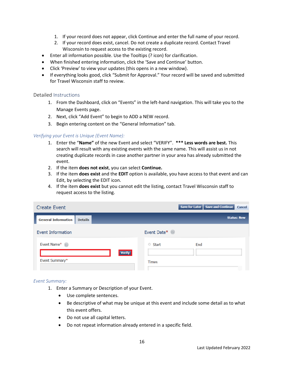- 1. If your record does not appear, click Continue and enter the full name of your record.
- 2. If your record does exist, cancel. Do not create a duplicate record. Contact Travel Wisconsin to request access to the existing record.
- Enter all information possible. Use the Tooltips (? icon) for clarification.
- When finished entering information, click the 'Save and Continue' button.
- Click 'Preview' to view your updates (this opens in a new window).
- If everything looks good, click "Submit for Approval." Your record will be saved and submitted for Travel Wisconsin staff to review.

#### <span id="page-15-0"></span>Detailed Instructions

- 1. From the Dashboard, click on "Events" in the left-hand navigation. This will take you to the Manage Events page.
- 2. Next, click "Add Event" to begin to ADD a NEW record.
- 3. Begin entering content on the "General Information" tab.

#### *Verifying your Event is Unique (Event Name):*

- 1. Enter the "**Name"** of the new Event and select "VERIFY". **\*\*\* Less words are best.** This search will result with any existing events with the same name. This will assist us in not creating duplicate records in case another partner in your area has already submitted the event.
- 2. If the item **does not exist**, you can select **Continue.**
- 3. If the item **does exist** and the **EDIT** option is available, you have access to that event and can Edit, by selecting the EDIT icon.
- 4. If the item **does exist** but you cannot edit the listing, contact Travel Wisconsin staff to request access to the listing.

| <b>Create Event</b>                          | <b>Save and Continue</b><br>Save for Later<br>Cancel |
|----------------------------------------------|------------------------------------------------------|
| <b>General Information</b><br><b>Details</b> | <b>Status: New</b>                                   |
| <b>Event Information</b>                     | Event Date*                                          |
| Event Name*<br>∩                             | Start<br>End                                         |
| <b>Verify</b><br>Event Summary*              | <b>Times</b>                                         |
|                                              |                                                      |

#### *Event Summary:*

- 1. Enter a Summary or Description of your Event.
	- Use complete sentences.
	- Be descriptive of what may be unique at this event and include some detail as to what this event offers.
	- Do not use all capital letters.
	- Do not repeat information already entered in a specific field.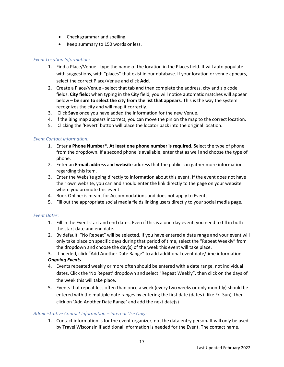- Check grammar and spelling.
- Keep summary to 150 words or less.

#### *Event Location Information:*

- 1. Find a Place/Venue type the name of the location in the Places field. It will auto populate with suggestions, with "places" that exist in our database. If your location or venue appears, select the correct Place/Venue and click **Add**.
- 2. Create a Place/Venue select that tab and then complete the address, city and zip code fields. **City field:** when typing in the City field, you will notice automatic matches will appear below – **be sure to select the city from the list that appears**. This is the way the system recognizes the city and will map it correctly.
- 3. Click **Save** once you have added the information for the new Venue.
- 4. If the Bing map appears incorrect, you can move the pin on the map to the correct location.
- 5. Clicking the 'Revert' button will place the locator back into the original location.

#### *Event Contact Information:*

- 1. Enter a **Phone Number\*. At least one phone number is required.** Select the type of phone from the dropdown. If a second phone is available, enter that as well and choose the type of phone.
- 2. Enter an **E-mail address** and **website** address that the public can gather more information regarding this item.
- 3. Enter the Website going directly to information about this event. If the event does not have their own website, you can and should enter the link directly to the page on your website where you promote this event.
- 4. Book Online: is meant for Accommodations and does not apply to Events.
- 5. Fill out the appropriate social media fields linking users directly to your social media page.

#### *Event Dates:*

- 1. Fill in the Event start and end dates. Even if this is a one-day event, you need to fill in both the start date and end date.
- 2. By default, "No Repeat" will be selected. If you have entered a date range and your event will only take place on specific days during that period of time, select the "Repeat Weekly" from the dropdown and choose the day(s) of the week this event will take place.
- 3. If needed, click "Add Another Date Range" to add additional event date/time information.

#### *Ongoing Events*

- 4. Events repeated weekly or more often should be entered with a date range, not individual dates. Click the 'No Repeat' dropdown and select "Repeat Weekly", then click on the days of the week this will take place.
- 5. Events that repeat less often than once a week (every two weeks or only monthly) should be entered with the multiple date ranges by entering the first date (dates if like Fri-Sun), then click on 'Add Another Date Range' and add the next date(s)

#### *Administrative Contact Information – Internal Use Only:*

1. Contact information is for the event organizer, not the data entry person**.** It will only be used by Travel Wisconsin if additional information is needed for the Event. The contact name,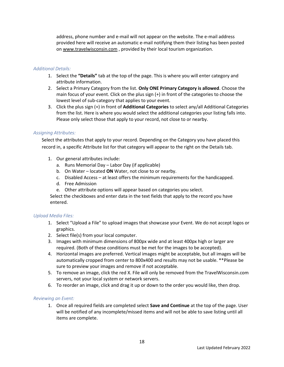address, phone number and e-mail will not appear on the website. The e-mail address provided here will receive an automatic e-mail notifying them their listing has been posted o[n www.travelwisconsin.com](http://www.travelwisconsin.com/) , provided by their local tourism organization.

#### *Additional Details:*

- 1. Select the **"Details"** tab at the top of the page. This is where you will enter category and attribute information.
- 2. Select a Primary Category from the list. **Only ONE Primary Category is allowed**. Choose the main focus of your event. Click on the plus sign (+) in front of the categories to choose the lowest level of sub-category that applies to your event.
- 3. Click the plus sign (+) in front of **Additional Categories** to select any/all Additional Categories from the list. Here is where you would select the additional categories your listing falls into. Please only select those that apply to your record, not close to or nearby.

#### *Assigning Attributes:*

Select the attributes that apply to your record. Depending on the Category you have placed this record in, a specific Attribute list for that category will appear to the right on the Details tab.

- 1. Our general attributes include:
	- a. Runs Memorial Day Labor Day (if applicable)
	- b. On Water located **ON** Water, not close to or nearby.
	- c. Disabled Access at least offers the minimum requirements for the handicapped.
	- d. Free Admission
	- e. Other attribute options will appear based on categories you select.

Select the checkboxes and enter data in the text fields that apply to the record you have entered.

#### *Upload Media Files:*

- 1. Select "Upload a File" to upload images that showcase your Event. We do not accept logos or graphics.
- 2. Select file(s) from your local computer.
- 3. Images with minimum dimensions of 800px wide and at least 400px high or larger are required. (Both of these conditions must be met for the images to be accepted).
- 4. Horizontal images are preferred. Vertical images might be acceptable, but all images will be automatically cropped from center to 800x400 and results may not be usable. \*\*Please be sure to preview your images and remove if not acceptable.
- 5. To remove an image, click the red X. File will only be removed from the TravelWisconsin.com servers, not your local system or network servers.
- 6. To reorder an image, click and drag it up or down to the order you would like, then drop.

#### *Reviewing an Event:*

1. Once all required fields are completed select **Save and Continue** at the top of the page. User will be notified of any incomplete/missed items and will not be able to save listing until all items are complete.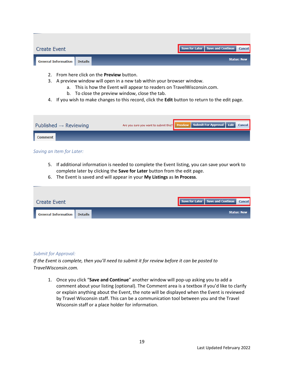| <b>Create Event</b>        |                |  | Save for Later   Save and Continue   Cancel |                    |
|----------------------------|----------------|--|---------------------------------------------|--------------------|
| <b>General Information</b> | <b>Details</b> |  |                                             | <b>Status: New</b> |

- 2. From here click on the **Preview** button.
- 3. A preview window will open in a new tab within your browser window.
	- a. This is how the Event will appear to readers on TravelWisconsin.com.
	- b. To close the preview window, close the tab.
- 4. If you wish to make changes to this record, click the **Edit** button to return to the edit page.

| Published $\rightarrow$ Reviewing |  |  | Are you sure you want to submit this? Preview Submit For Approval Edit Cancel |  |  |  |  |
|-----------------------------------|--|--|-------------------------------------------------------------------------------|--|--|--|--|
| Comment                           |  |  |                                                                               |  |  |  |  |

#### *Saving an Item for Later:*

- 5. If additional information is needed to complete the Event listing, you can save your work to complete later by clicking the **Save for Later** button from the edit page.
- 6. The Event is saved and will appear in your **My Listings** as **In Process**.

| <b>Create Event</b>        |                |  | Save for Later   Save and Continue   Cancel |                    |
|----------------------------|----------------|--|---------------------------------------------|--------------------|
| <b>General Information</b> | <b>Details</b> |  |                                             | <b>Status: New</b> |

#### *Submit for Approval:*

*If the Event is complete, then you'll need to submit it for review before it can be posted to TravelWisconsin.com.*

1. Once you click "**Save and Continue**" another window will pop-up asking you to add a comment about your listing (optional). The Comment area is a textbox if you'd like to clarify or explain anything about the Event, the note will be displayed when the Event is reviewed by Travel Wisconsin staff. This can be a communication tool between you and the Travel Wisconsin staff or a place holder for information.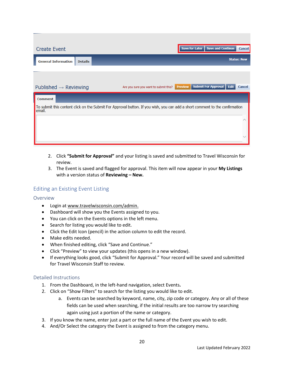| <b>Create Event</b>                                                                                                                    | <b>Save for Later</b><br><b>Save and Continue</b>              | Cancel |
|----------------------------------------------------------------------------------------------------------------------------------------|----------------------------------------------------------------|--------|
| <b>General Information</b><br><b>Details</b>                                                                                           | <b>Status: New</b>                                             |        |
|                                                                                                                                        |                                                                |        |
| Published $\rightarrow$ Reviewing<br>Are you sure you want to submit this?                                                             | <b>Submit For Approval</b><br>Edit<br><b>Preview</b><br>Cancel |        |
| <b>Comment</b>                                                                                                                         |                                                                |        |
| To submit this content click on the Submit For Approval button. If you wish, you can add a short comment to the confirmation<br>email. |                                                                |        |
|                                                                                                                                        |                                                                |        |
|                                                                                                                                        |                                                                |        |

- 2. Click **"Submit for Approval"** and your listing is saved and submitted to Travel Wisconsin for review.
- 3. The Event is saved and flagged for approval. This item will now appear in your **My Listings**  with a version status of **Reviewing – New.**

## <span id="page-19-0"></span>Editing an Existing Event Listing

#### <span id="page-19-1"></span>Overview

- Login at [www.travelwisconsin.com/admin.](http://www.travelwisconsin.com/admin)
- Dashboard will show you the Events assigned to you.
- You can click on the Events options in the left menu.
- Search for listing you would like to edit.
- Click the Edit Icon (pencil) in the action column to edit the record.
- Make edits needed.
- When finished editing, click "Save and Continue."
- Click "Preview" to view your updates (this opens in a new window).
- If everything looks good, click "Submit for Approval." Your record will be saved and submitted for Travel Wisconsin Staff to review.

#### <span id="page-19-2"></span>Detailed Instructions

- 1. From the Dashboard, in the left-hand navigation, select Events**.**
- 2. Click on "Show Filters" to search for the listing you would like to edit.
	- a. Events can be searched by keyword, name, city, zip code or category. Any or all of these fields can be used when searching, if the initial results are too narrow try searching again using just a portion of the name or category.
- 3. If you know the name, enter just a part or the full name of the Event you wish to edit.
- 4. And/Or Select the category the Event is assigned to from the category menu.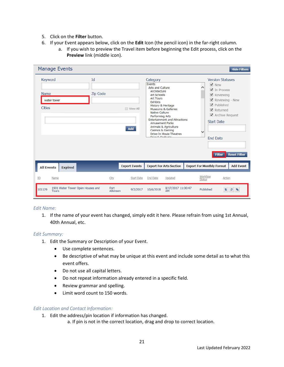- 5. Click on the **Filter** button.
- 6. If your Event appears below, click on the **Edit** Icon (the pencil icon) in the far-right column.
	- a. If you wish to preview the Travel item before beginning the Edit process, click on the **Preview** link (middle icon).

| <b>Manage Events</b>                                       |                  |                            |                                                                                                                                                                                                                                            |                                                                                                                                   |               |                                                                                                                                                                                                                                                                                                             | <b>Hide Filters</b>       |
|------------------------------------------------------------|------------------|----------------------------|--------------------------------------------------------------------------------------------------------------------------------------------------------------------------------------------------------------------------------------------|-----------------------------------------------------------------------------------------------------------------------------------|---------------|-------------------------------------------------------------------------------------------------------------------------------------------------------------------------------------------------------------------------------------------------------------------------------------------------------------|---------------------------|
| Keyword<br><b>Name</b><br>water tower<br><b>Cities</b>     | Id<br>Zip Code   | <b>TIL View All</b><br>Add | Category<br>Events<br><b>Arts and Culture</b><br>Architecture<br><b>Art Schools</b><br><b>Art Tours</b><br><b>Exhibits</b><br>History & Heritage<br><b>Native Culture</b><br>Performing Arts<br><b>Amusement Parks</b><br>Casinos & Gaming | <b>Museums &amp; Galleries</b><br><b>Entertainment and Attractions</b><br>Animals & Agriculture<br><b>Drive-In Movie Theatres</b> | $\checkmark$  | <b>Version Statuses</b><br>$\triangledown$ New<br>$\nabla$ In Process<br>$\blacktriangleright$ Reviewing<br>▿<br>Reviewing - New<br>$\blacktriangledown$<br>Published<br>$\blacktriangledown$<br>Returned<br>$\blacktriangleright$ Archive Request<br><b>Start Date</b><br><b>End Date</b><br><b>Filter</b> | <b>Reset Filter</b>       |
| <b>All Events</b><br><b>Expired</b>                        |                  | <b>Export Events</b>       |                                                                                                                                                                                                                                            | <b>Export For Arts Section</b>                                                                                                    |               | <b>Export For Monthly Format</b>                                                                                                                                                                                                                                                                            | <b>Add Event</b>          |
| Name<br>ID                                                 | City             | <b>Start Date</b>          | <b>End Date</b>                                                                                                                                                                                                                            | Updated                                                                                                                           | <b>Status</b> | Workflow<br>Action                                                                                                                                                                                                                                                                                          |                           |
| 1901 Water Tower Open Houses and<br>101129<br><b>Tours</b> | Fort<br>Atkinson | 9/2/2017                   | 10/6/2018                                                                                                                                                                                                                                  | 8/17/2017 11:00:47<br><b>AM</b>                                                                                                   |               | Published<br>÷.                                                                                                                                                                                                                                                                                             | $\mathsf{p}$<br>$\bullet$ |

#### *Edit Name:*

1. If the name of your event has changed, simply edit it here. Please refrain from using 1st Annual, 40th Annual, etc.

#### *Edit Summary:*

- 1. Edit the Summary or Description of your Event.
	- Use complete sentences.
	- Be descriptive of what may be unique at this event and include some detail as to what this event offers.
	- Do not use all capital letters.
	- Do not repeat information already entered in a specific field.
	- Review grammar and spelling.
	- Limit word count to 150 words.

#### *Edit Location and Contact Information:*

- 1. Edit the address/pin location if information has changed.
	- a. If pin is not in the correct location, drag and drop to correct location.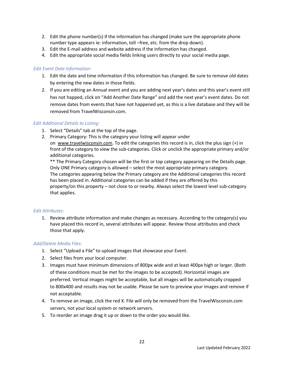- 2. Edit the phone number(s) if the information has changed (make sure the appropriate phone number type appears ie: information, toll –free, etc. from the drop down).
- 3. Edit the E-mail address and website address if the information has changed.
- 4. Edit the appropriate social media fields linking users directly to your social media page.

#### *Edit Event Date Information:*

- 1. Edit the date and time information if this information has changed. Be sure to remove old dates by entering the new dates in those fields.
- 2. If you are editing an Annual event and you are adding next year's dates and this year's event still has not happed, click on "Add Another Date Range" and add the next year's event dates. Do not remove dates from events that have not happened yet, as this is a live database and they will be removed from TravelWisconsin.com.

#### *Edit Additional Details to Listing:*

- 1. Select "Details" tab at the top of the page.
- 2. Primary Category: This is the category your listing will appear under

on [www.travelwisconsin.com.](http://www.travelwisconsin.com/) To edit the categories this record is in, click the plus sign (+) in front of the category to view the sub-categories. Click or unclick the appropriate primary and/or additional categories.

\*\* The Primary Category chosen will be the first or top category appearing on the Details page. Only ONE Primary category is allowed – select the most appropriate primary category. The categories appearing below the Primary category are the Additional categories this record has been placed in. Additional categories can be added if they are offered by this property/on this property – not close to or nearby. Always select the lowest level sub-category that applies.

#### *Edit Attributes:*

1. Review attribute information and make changes as necessary. According to the category(s) you have placed this record in, several attributes will appear. Review those attributes and check those that apply.

#### *Add/Delete Media Files:*

- 1. Select "Upload a File" to upload images that showcase your Event.
- 2. Select files from your local computer.
- 3. Images must have minimum dimensions of 800px wide and at least 400px high or larger. (Both of these conditions must be met for the images to be accepted). Horizontal images are preferred. Vertical images might be acceptable, but all images will be automatically cropped to 800x400 and results may not be usable. Please be sure to preview your images and remove if not acceptable.
- 4. To remove an image, click the red X. File will only be removed from the TravelWisconsin.com servers, not your local system or network servers.
- 5. To reorder an image drag it up or down to the order you would like.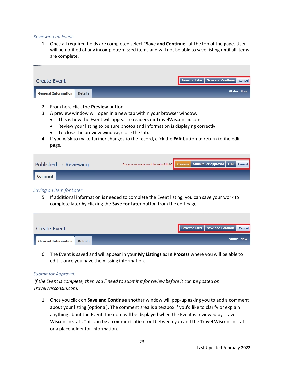#### *Reviewing an Event:*

1. Once all required fields are completed select "**Save and Continue**" at the top of the page. User will be notified of any incomplete/missed items and will not be able to save listing until all items are complete.

| <b>Create Event</b>                  |  | Save for Later   Save and Continue   Cancel |                    |
|--------------------------------------|--|---------------------------------------------|--------------------|
| <b>General Information   Details</b> |  |                                             | <b>Status: New</b> |
|                                      |  |                                             |                    |

- 2. From here click the **Preview** button.
- 3. A preview window will open in a new tab within your browser window.
	- This is how the Event will appear to readers on TravelWisconsin.com.
	- Review your listing to be sure photos and information is displaying correctly.
	- To close the preview window, close the tab.
- 4. If you wish to make further changes to the record, click the **Edit** button to return to the edit page.

| Published $\rightarrow$ Reviewing | Are you sure you want to submit this? Preview Submit For Approval Edit Cancel |  |  |
|-----------------------------------|-------------------------------------------------------------------------------|--|--|
| <b>Comment</b>                    |                                                                               |  |  |

#### *Saving an Item for Later:*

5. If additional information is needed to complete the Event listing, you can save your work to complete later by clicking the **Save for Later** button from the edit page.

| <b>Create Event</b>                |  | Save for Later   Save and Continue   Cancel |                    |
|------------------------------------|--|---------------------------------------------|--------------------|
| <b>General Information</b> Details |  |                                             | <b>Status: New</b> |

6. The Event is saved and will appear in your **My Listings** as **In Process** where you will be able to edit it once you have the missing information.

#### *Submit for Approval:*

*If the Event is complete, then you'll need to submit it for review before it can be posted on TravelWisconsin.com.*

1. Once you click on **Save and Continue** another window will pop-up asking you to add a comment about your listing (optional). The comment area is a textbox if you'd like to clarify or explain anything about the Event, the note will be displayed when the Event is reviewed by Travel Wisconsin staff. This can be a communication tool between you and the Travel Wisconsin staff or a placeholder for information.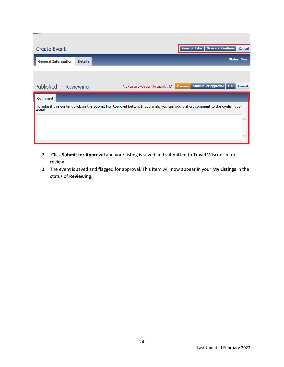| <b>Create Event</b>               |                |                                                                                                                              |                | Save for Later | <b>Save and Continue</b>   |      | Cancel             |
|-----------------------------------|----------------|------------------------------------------------------------------------------------------------------------------------------|----------------|----------------|----------------------------|------|--------------------|
| <b>General Information</b>        | <b>Details</b> |                                                                                                                              |                |                |                            |      | <b>Status: New</b> |
|                                   |                |                                                                                                                              |                |                |                            |      |                    |
| Published $\rightarrow$ Reviewing |                | Are you sure you want to submit this?                                                                                        | <b>Preview</b> |                | <b>Submit For Approval</b> | Edit | Cancel             |
| <b>Comment</b>                    |                |                                                                                                                              |                |                |                            |      |                    |
| email.                            |                | To submit this content click on the Submit For Approval button. If you wish, you can add a short comment to the confirmation |                |                |                            |      |                    |
|                                   |                |                                                                                                                              |                |                |                            |      |                    |
|                                   |                |                                                                                                                              |                |                |                            |      |                    |

- 2. Click **Submit for Approval** and your listing is saved and submitted to Travel Wisconsin for review.
- 3. The event is saved and flagged for approval. This item will now appear in your **My Listings** in the status of **Reviewing**.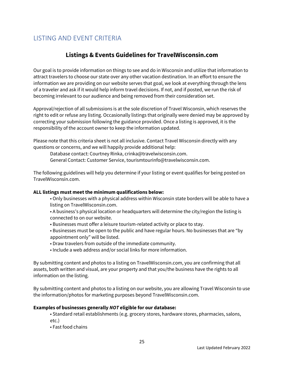# <span id="page-24-0"></span>LISTING AND EVENT CRITERIA

## **Listings & Events Guidelines for TravelWisconsin.com**

Our goal is to provide information on things to see and do in Wisconsin and utilize that information to attract travelers to choose our state over any other vacation destination. In an effort to ensure the information we are providing on our website serves that goal, we look at everything through the lens of a traveler and ask if it would help inform travel decisions. If not, and if posted, we run the risk of becoming irrelevant to our audience and being removed from their consideration set.

Approval/rejection of all submissions is at the sole discretion of Travel Wisconsin, which reserves the right to edit or refuse any listing. Occasionally listings that originally were denied may be approved by correcting your submission following the guidance provided. Once a listing is approved, it is the responsibility of the account owner to keep the information updated.

Please note that this criteria sheet is not all inclusive. Contact Travel Wisconsin directly with any questions or concerns, and we will happily provide additional help:

Database contact: Courtney Rinka, crinka@travelwisconsin.com. General Contact: Customer Service, tourismtourinfo@travelwisconsin.com.

The following guidelines will help you determine if your listing or event qualifies for being posted on TravelWisconsin.com.

#### **ALL listings must meet the minimum qualifications below:**

- Only businesses with a physical address within Wisconsin state borders will be able to have a listing on TravelWisconsin.com.
- A business's physical location or headquarters will determine the city/region the listing is connected to on our website.
- Businesses must offer a leisure tourism-related activity or place to stay.
- Businesses must be open to the public and have regular hours. No businesses that are "by appointment only" will be listed.
- Draw travelers from outside of the immediate community.
- Include a web address and/or social links for more information.

By submitting content and photos to a listing on TravelWisconsin.com, you are confirming that all assets, both written and visual, are your property and that you/the business have the rights to all information on the listing.

By submitting content and photos to a listing on our website, you are allowing Travel Wisconsin to use the information/photos for marketing purposes beyond TravelWisconsin.com.

#### **Examples of businesses generally** *NOT* **eligible for our database:**

- Standard retail establishments (e.g. grocery stores, hardware stores, pharmacies, salons, etc.)
- Fast food chains